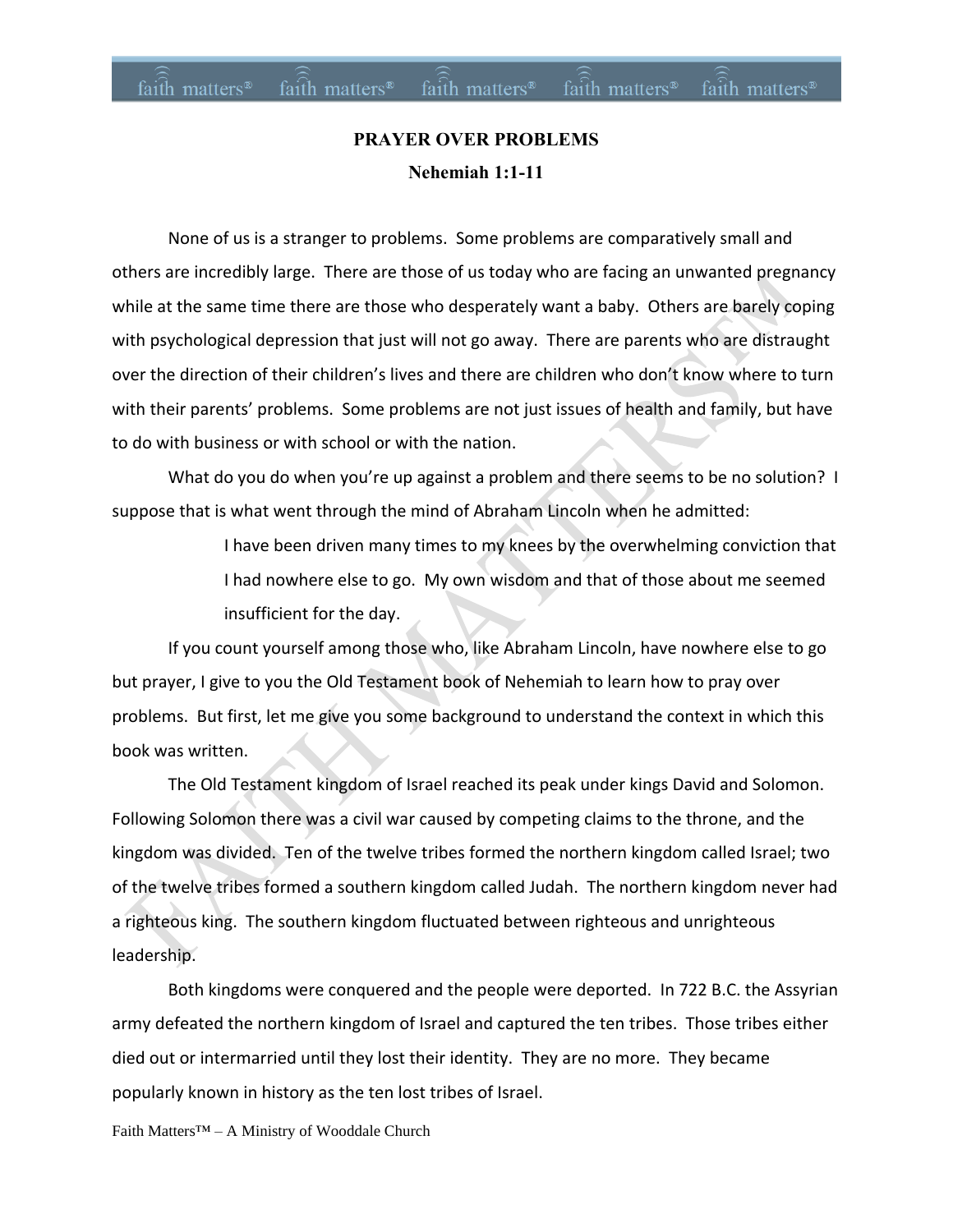#### **PRAYER OVER PROBLEMS Nehemiah 1:1-11**

None of us is a stranger to problems. Some problems are comparatively small and others are incredibly large. There are those of us today who are facing an unwanted pregnancy while at the same time there are those who desperately want a baby. Others are barely coping with psychological depression that just will not go away. There are parents who are distraught over the direction of their children's lives and there are children who don't know where to turn with their parents' problems. Some problems are not just issues of health and family, but have to do with business or with school or with the nation.

What do you do when you're up against a problem and there seems to be no solution? I suppose that is what went through the mind of Abraham Lincoln when he admitted:

> I have been driven many times to my knees by the overwhelming conviction that I had nowhere else to go. My own wisdom and that of those about me seemed insufficient for the day.

If you count yourself among those who, like Abraham Lincoln, have nowhere else to go but prayer, I give to you the Old Testament book of Nehemiah to learn how to pray over problems. But first, let me give you some background to understand the context in which this book was written.

The Old Testament kingdom of Israel reached its peak under kings David and Solomon. Following Solomon there was a civil war caused by competing claims to the throne, and the kingdom was divided. Ten of the twelve tribes formed the northern kingdom called Israel; two of the twelve tribes formed a southern kingdom called Judah. The northern kingdom never had a righteous king. The southern kingdom fluctuated between righteous and unrighteous leadership.

Both kingdoms were conquered and the people were deported. In 722 B.C. the Assyrian army defeated the northern kingdom of Israel and captured the ten tribes. Those tribes either died out or intermarried until they lost their identity. They are no more. They became popularly known in history as the ten lost tribes of Israel.

Faith Matters™ – A Ministry of Wooddale Church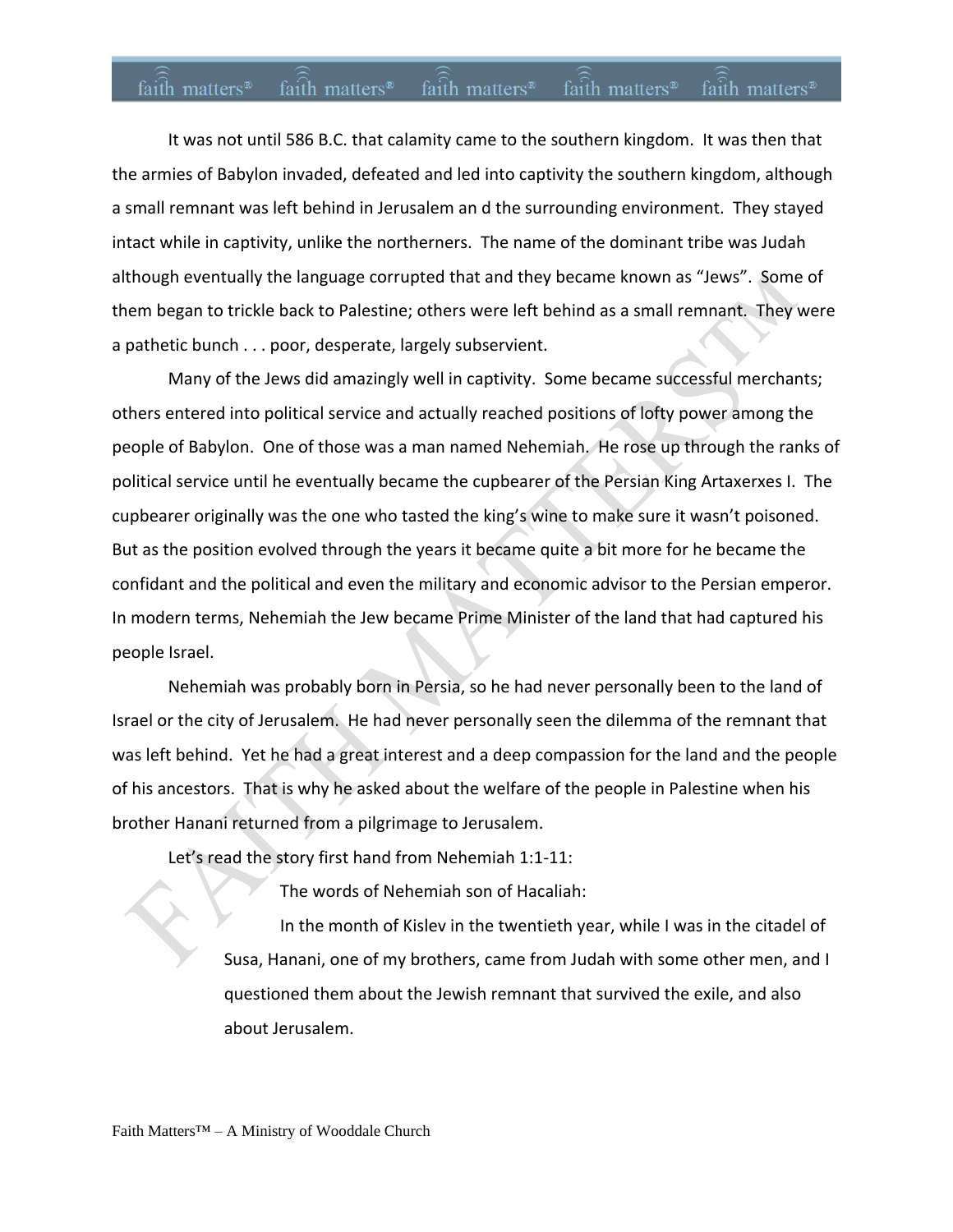It was not until 586 B.C. that calamity came to the southern kingdom. It was then that the armies of Babylon invaded, defeated and led into captivity the southern kingdom, although a small remnant was left behind in Jerusalem an d the surrounding environment. They stayed intact while in captivity, unlike the northerners. The name of the dominant tribe was Judah although eventually the language corrupted that and they became known as "Jews". Some of them began to trickle back to Palestine; others were left behind as a small remnant. They were a pathetic bunch . . . poor, desperate, largely subservient.

Many of the Jews did amazingly well in captivity. Some became successful merchants; others entered into political service and actually reached positions of lofty power among the people of Babylon. One of those was a man named Nehemiah. He rose up through the ranks of political service until he eventually became the cupbearer of the Persian King Artaxerxes I. The cupbearer originally was the one who tasted the king's wine to make sure it wasn't poisoned. But as the position evolved through the years it became quite a bit more for he became the confidant and the political and even the military and economic advisor to the Persian emperor. In modern terms, Nehemiah the Jew became Prime Minister of the land that had captured his people Israel.

Nehemiah was probably born in Persia, so he had never personally been to the land of Israel or the city of Jerusalem. He had never personally seen the dilemma of the remnant that was left behind. Yet he had a great interest and a deep compassion for the land and the people of his ancestors. That is why he asked about the welfare of the people in Palestine when his brother Hanani returned from a pilgrimage to Jerusalem.

Let's read the story first hand from Nehemiah 1:1-11:

The words of Nehemiah son of Hacaliah:

In the month of Kislev in the twentieth year, while I was in the citadel of Susa, Hanani, one of my brothers, came from Judah with some other men, and I questioned them about the Jewish remnant that survived the exile, and also about Jerusalem.

Faith Matters™ – A Ministry of Wooddale Church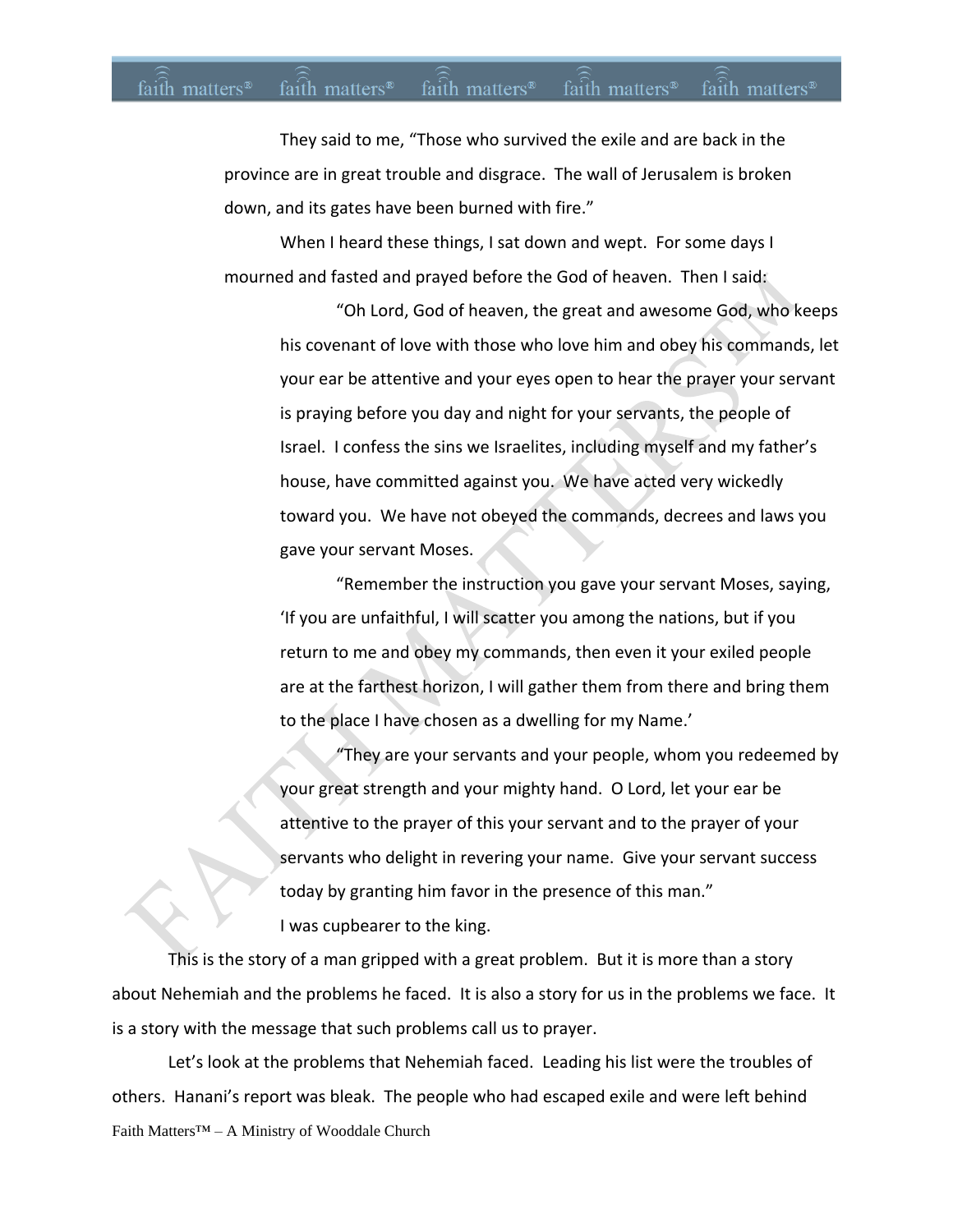They said to me, "Those who survived the exile and are back in the province are in great trouble and disgrace. The wall of Jerusalem is broken down, and its gates have been burned with fire."

When I heard these things, I sat down and wept. For some days I mourned and fasted and prayed before the God of heaven. Then I said:

"Oh Lord, God of heaven, the great and awesome God, who keeps his covenant of love with those who love him and obey his commands, let your ear be attentive and your eyes open to hear the prayer your servant is praying before you day and night for your servants, the people of Israel. I confess the sins we Israelites, including myself and my father's house, have committed against you. We have acted very wickedly toward you. We have not obeyed the commands, decrees and laws you gave your servant Moses.

"Remember the instruction you gave your servant Moses, saying, 'If you are unfaithful, I will scatter you among the nations, but if you return to me and obey my commands, then even it your exiled people are at the farthest horizon, I will gather them from there and bring them to the place I have chosen as a dwelling for my Name.'

"They are your servants and your people, whom you redeemed by your great strength and your mighty hand. O Lord, let your ear be attentive to the prayer of this your servant and to the prayer of your servants who delight in revering your name. Give your servant success today by granting him favor in the presence of this man." I was cupbearer to the king.

This is the story of a man gripped with a great problem. But it is more than a story about Nehemiah and the problems he faced. It is also a story for us in the problems we face. It is a story with the message that such problems call us to prayer.

Faith Matters™ – A Ministry of Wooddale Church Let's look at the problems that Nehemiah faced. Leading his list were the troubles of others. Hanani's report was bleak. The people who had escaped exile and were left behind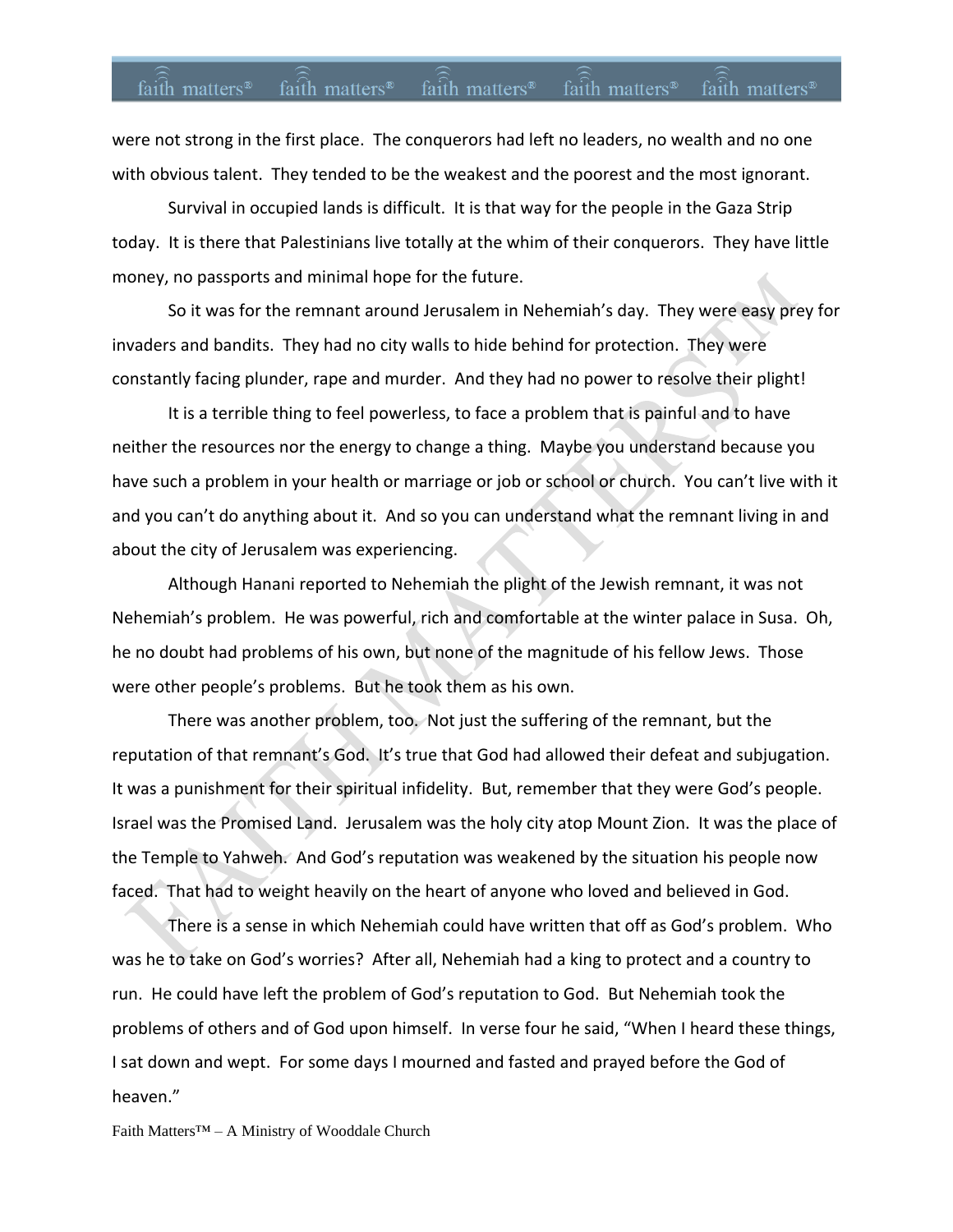were not strong in the first place. The conquerors had left no leaders, no wealth and no one with obvious talent. They tended to be the weakest and the poorest and the most ignorant.

Survival in occupied lands is difficult. It is that way for the people in the Gaza Strip today. It is there that Palestinians live totally at the whim of their conquerors. They have little money, no passports and minimal hope for the future.

So it was for the remnant around Jerusalem in Nehemiah's day. They were easy prey for invaders and bandits. They had no city walls to hide behind for protection. They were constantly facing plunder, rape and murder. And they had no power to resolve their plight!

It is a terrible thing to feel powerless, to face a problem that is painful and to have neither the resources nor the energy to change a thing. Maybe you understand because you have such a problem in your health or marriage or job or school or church. You can't live with it and you can't do anything about it. And so you can understand what the remnant living in and about the city of Jerusalem was experiencing.

Although Hanani reported to Nehemiah the plight of the Jewish remnant, it was not Nehemiah's problem. He was powerful, rich and comfortable at the winter palace in Susa. Oh, he no doubt had problems of his own, but none of the magnitude of his fellow Jews. Those were other people's problems. But he took them as his own.

There was another problem, too. Not just the suffering of the remnant, but the reputation of that remnant's God. It's true that God had allowed their defeat and subjugation. It was a punishment for their spiritual infidelity. But, remember that they were God's people. Israel was the Promised Land. Jerusalem was the holy city atop Mount Zion. It was the place of the Temple to Yahweh. And God's reputation was weakened by the situation his people now faced. That had to weight heavily on the heart of anyone who loved and believed in God.

There is a sense in which Nehemiah could have written that off as God's problem. Who was he to take on God's worries? After all, Nehemiah had a king to protect and a country to run. He could have left the problem of God's reputation to God. But Nehemiah took the problems of others and of God upon himself. In verse four he said, "When I heard these things, I sat down and wept. For some days I mourned and fasted and prayed before the God of heaven."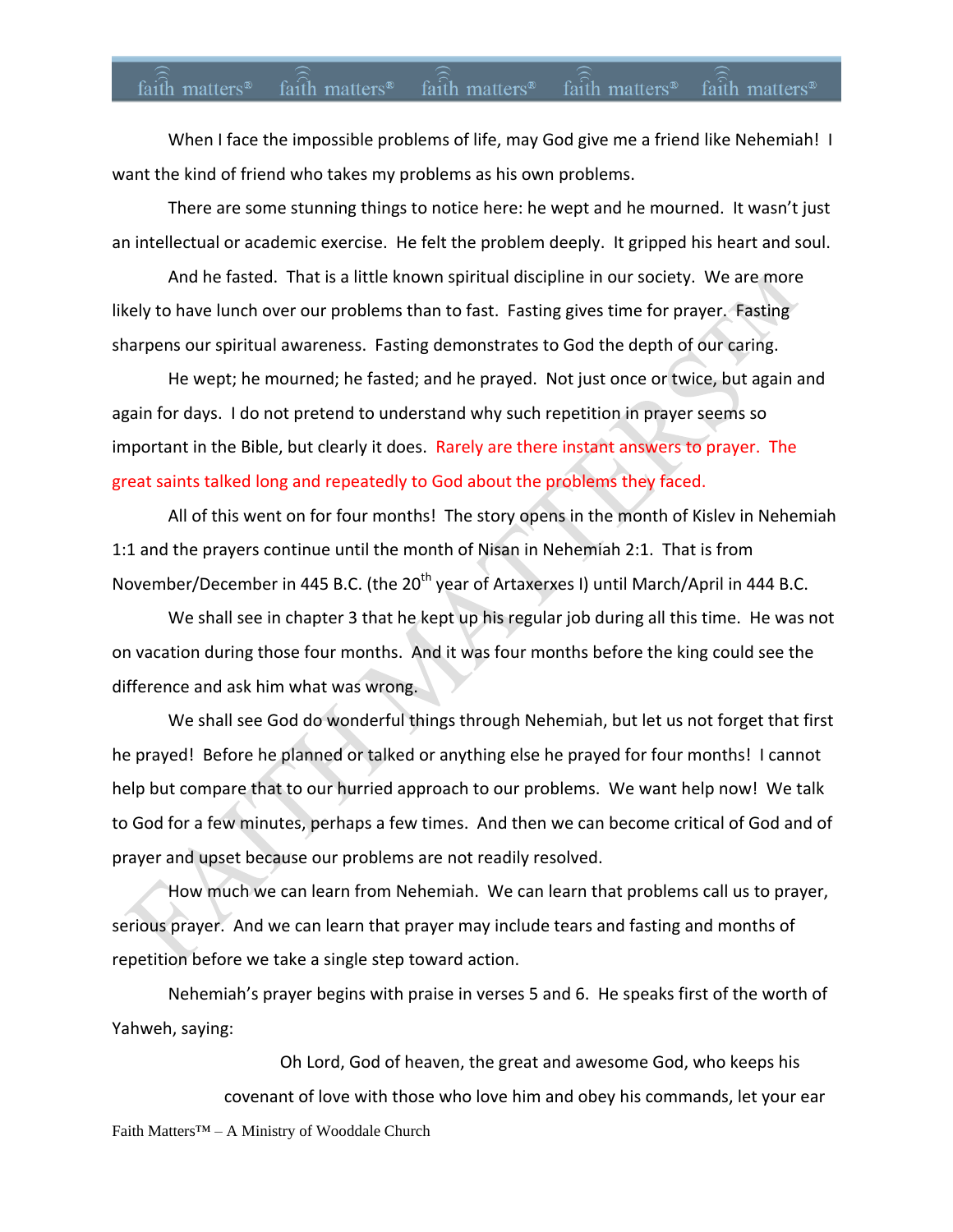When I face the impossible problems of life, may God give me a friend like Nehemiah! I want the kind of friend who takes my problems as his own problems.

There are some stunning things to notice here: he wept and he mourned. It wasn't just an intellectual or academic exercise. He felt the problem deeply. It gripped his heart and soul.

And he fasted. That is a little known spiritual discipline in our society. We are more likely to have lunch over our problems than to fast. Fasting gives time for prayer. Fasting sharpens our spiritual awareness. Fasting demonstrates to God the depth of our caring.

He wept; he mourned; he fasted; and he prayed. Not just once or twice, but again and again for days. I do not pretend to understand why such repetition in prayer seems so important in the Bible, but clearly it does. Rarely are there instant answers to prayer. The great saints talked long and repeatedly to God about the problems they faced.

All of this went on for four months! The story opens in the month of Kislev in Nehemiah 1:1 and the prayers continue until the month of Nisan in Nehemiah 2:1. That is from November/December in 445 B.C. (the 20<sup>th</sup> year of Artaxerxes I) until March/April in 444 B.C.

We shall see in chapter 3 that he kept up his regular job during all this time. He was not on vacation during those four months. And it was four months before the king could see the difference and ask him what was wrong.

We shall see God do wonderful things through Nehemiah, but let us not forget that first he prayed! Before he planned or talked or anything else he prayed for four months! I cannot help but compare that to our hurried approach to our problems. We want help now! We talk to God for a few minutes, perhaps a few times. And then we can become critical of God and of prayer and upset because our problems are not readily resolved.

How much we can learn from Nehemiah. We can learn that problems call us to prayer, serious prayer. And we can learn that prayer may include tears and fasting and months of repetition before we take a single step toward action.

Nehemiah's prayer begins with praise in verses 5 and 6. He speaks first of the worth of Yahweh, saying:

Faith Matters™ – A Ministry of Wooddale Church Oh Lord, God of heaven, the great and awesome God, who keeps his covenant of love with those who love him and obey his commands, let your ear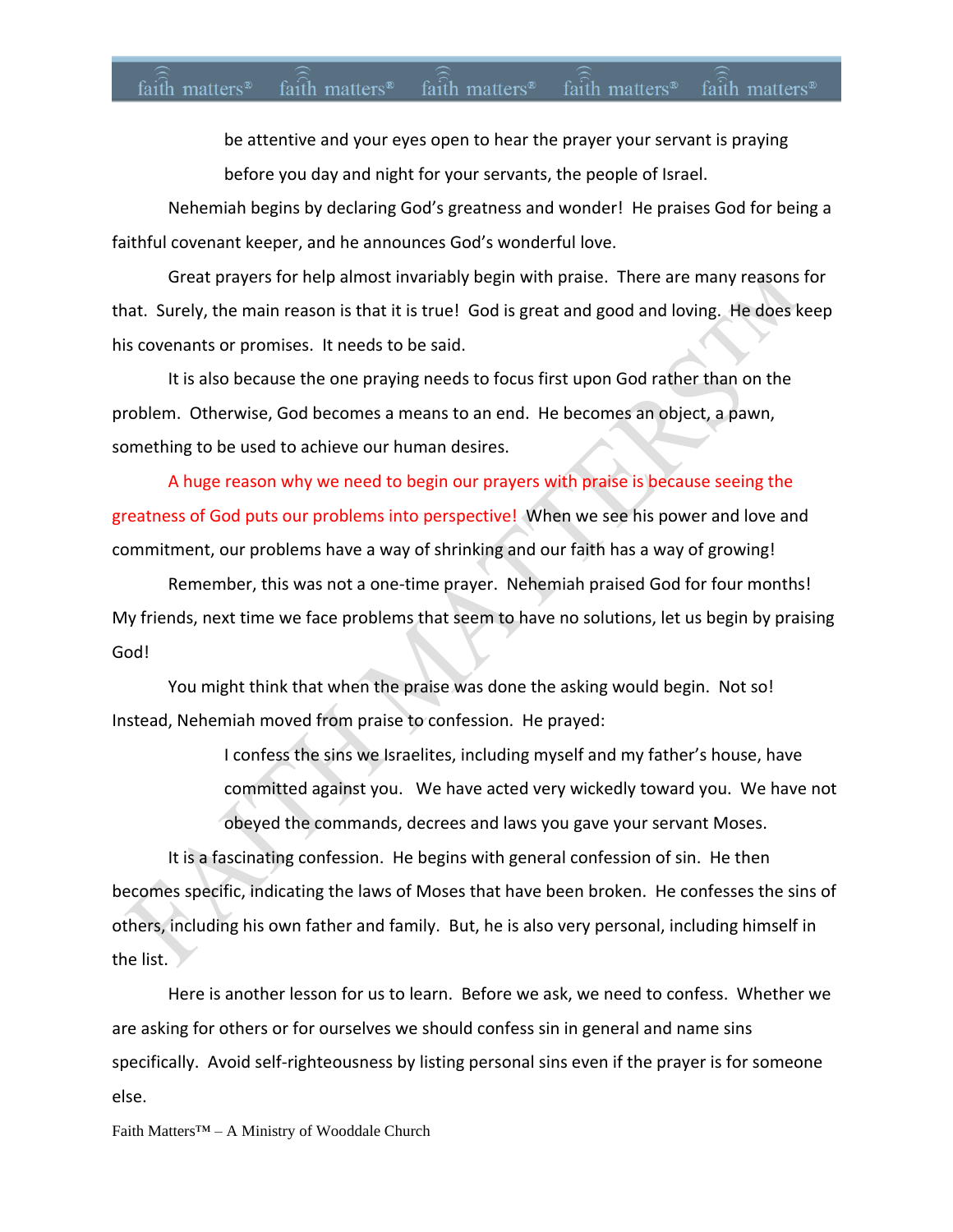be attentive and your eyes open to hear the prayer your servant is praying before you day and night for your servants, the people of Israel.

Nehemiah begins by declaring God's greatness and wonder! He praises God for being a faithful covenant keeper, and he announces God's wonderful love.

Great prayers for help almost invariably begin with praise. There are many reasons for that. Surely, the main reason is that it is true! God is great and good and loving. He does keep his covenants or promises. It needs to be said.

It is also because the one praying needs to focus first upon God rather than on the problem. Otherwise, God becomes a means to an end. He becomes an object, a pawn, something to be used to achieve our human desires.

A huge reason why we need to begin our prayers with praise is because seeing the greatness of God puts our problems into perspective! When we see his power and love and commitment, our problems have a way of shrinking and our faith has a way of growing!

Remember, this was not a one-time prayer. Nehemiah praised God for four months! My friends, next time we face problems that seem to have no solutions, let us begin by praising God!

You might think that when the praise was done the asking would begin. Not so! Instead, Nehemiah moved from praise to confession. He prayed:

> I confess the sins we Israelites, including myself and my father's house, have committed against you. We have acted very wickedly toward you. We have not obeyed the commands, decrees and laws you gave your servant Moses.

It is a fascinating confession. He begins with general confession of sin. He then becomes specific, indicating the laws of Moses that have been broken. He confesses the sins of others, including his own father and family. But, he is also very personal, including himself in the list.

Here is another lesson for us to learn. Before we ask, we need to confess. Whether we are asking for others or for ourselves we should confess sin in general and name sins specifically. Avoid self-righteousness by listing personal sins even if the prayer is for someone else.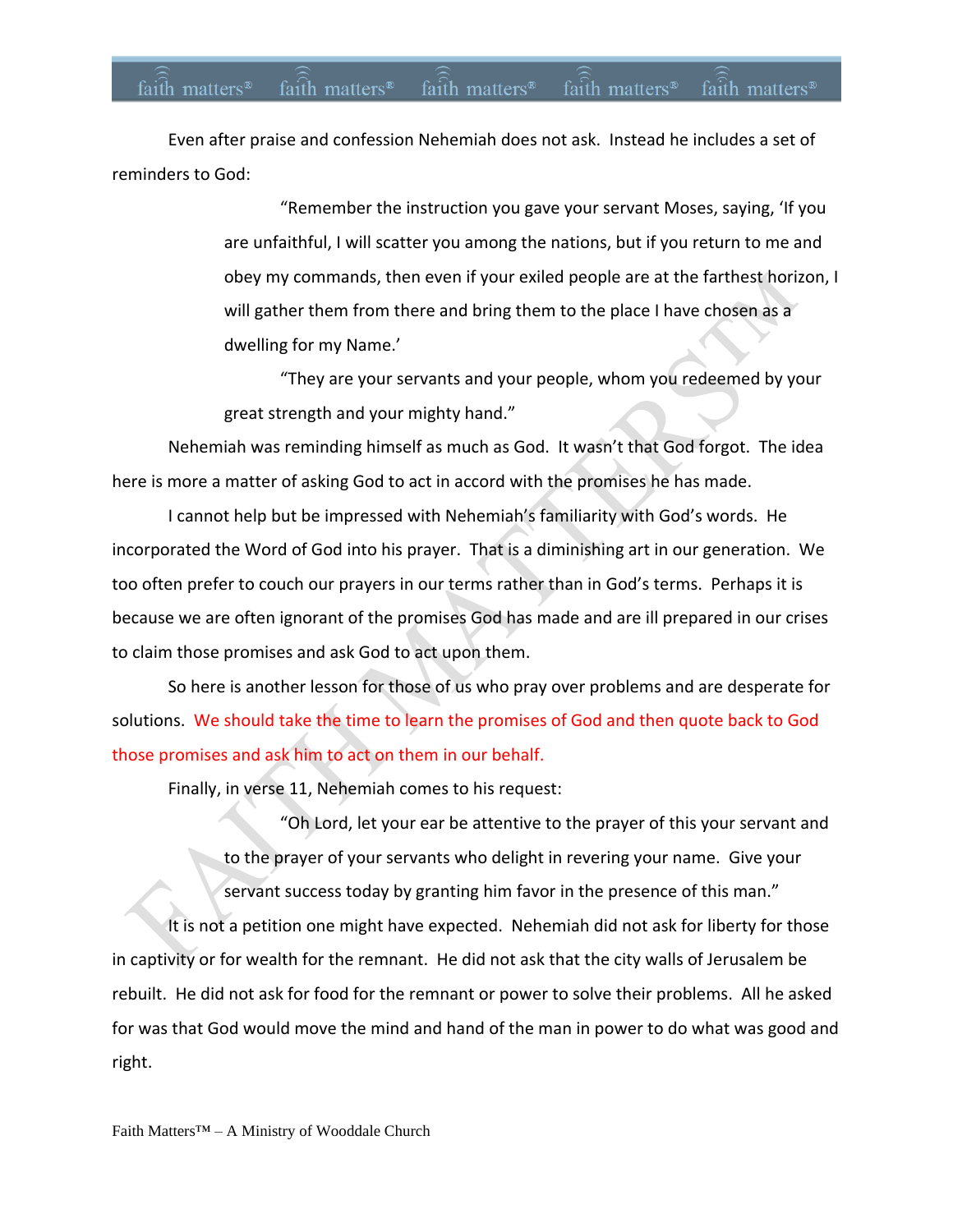Even after praise and confession Nehemiah does not ask. Instead he includes a set of reminders to God:

> "Remember the instruction you gave your servant Moses, saying, 'If you are unfaithful, I will scatter you among the nations, but if you return to me and obey my commands, then even if your exiled people are at the farthest horizon, I will gather them from there and bring them to the place I have chosen as a dwelling for my Name.'

"They are your servants and your people, whom you redeemed by your great strength and your mighty hand."

Nehemiah was reminding himself as much as God. It wasn't that God forgot. The idea here is more a matter of asking God to act in accord with the promises he has made.

I cannot help but be impressed with Nehemiah's familiarity with God's words. He incorporated the Word of God into his prayer. That is a diminishing art in our generation. We too often prefer to couch our prayers in our terms rather than in God's terms. Perhaps it is because we are often ignorant of the promises God has made and are ill prepared in our crises to claim those promises and ask God to act upon them.

So here is another lesson for those of us who pray over problems and are desperate for solutions. We should take the time to learn the promises of God and then quote back to God those promises and ask him to act on them in our behalf.

Finally, in verse 11, Nehemiah comes to his request:

"Oh Lord, let your ear be attentive to the prayer of this your servant and to the prayer of your servants who delight in revering your name. Give your servant success today by granting him favor in the presence of this man."

It is not a petition one might have expected. Nehemiah did not ask for liberty for those in captivity or for wealth for the remnant. He did not ask that the city walls of Jerusalem be rebuilt. He did not ask for food for the remnant or power to solve their problems. All he asked for was that God would move the mind and hand of the man in power to do what was good and right.